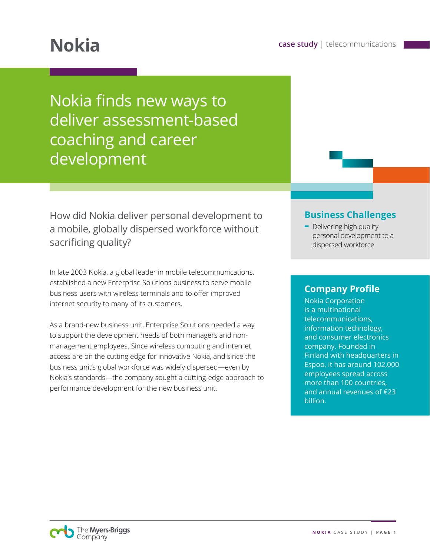Nokia finds new ways to deliver assessment-based coaching and career development

How did Nokia deliver personal development to a mobile, globally dispersed workforce without sacrificing quality?

In late 2003 Nokia, a global leader in mobile telecommunications, established a new Enterprise Solutions business to serve mobile business users with wireless terminals and to offer improved internet security to many of its customers.

As a brand-new business unit, Enterprise Solutions needed a way to support the development needs of both managers and nonmanagement employees. Since wireless computing and internet access are on the cutting edge for innovative Nokia, and since the business unit's global workforce was widely dispersed—even by Nokia's standards—the company sought a cutting-edge approach to performance development for the new business unit.

### **Business Challenges**

**-** Delivering high quality personal development to a dispersed workforce

### **Company Profile**

Nokia Corporation is a multinational telecommunications, information technology, and consumer electronics company. Founded in Finland with headquarters in Espoo, it has around 102,000 employees spread across more than 100 countries, and annual revenues of €23 billion.

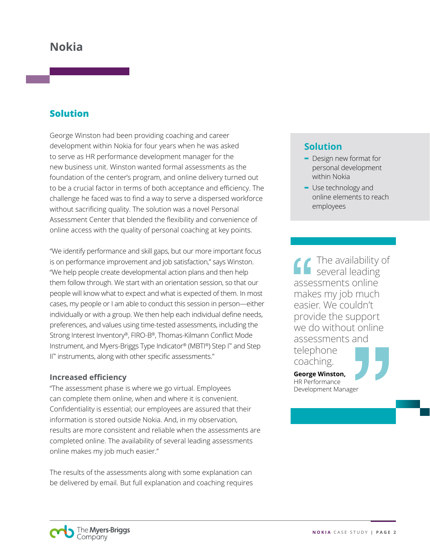# **Nokia**

## **Solution**

George Winston had been providing coaching and career development within Nokia for four years when he was asked to serve as HR performance development manager for the new business unit. Winston wanted formal assessments as the foundation of the center's program, and online delivery turned out to be a crucial factor in terms of both acceptance and efficiency. The challenge he faced was to find a way to serve a dispersed workforce without sacrificing quality. The solution was a novel Personal Assessment Center that blended the flexibility and convenience of online access with the quality of personal coaching at key points.

"We identify performance and skill gaps, but our more important focus is on performance improvement and job satisfaction," says Winston. "We help people create developmental action plans and then help them follow through. We start with an orientation session, so that our people will know what to expect and what is expected of them. In most cases, my people or I am able to conduct this session in person—either individually or with a group. We then help each individual define needs, preferences, and values using time-tested assessments, including the Strong Interest Inventory®, FIRO-B®, Thomas-Kilmann Conflict Mode Instrument, and Myers-Briggs Type Indicator® (MBTI®) Step I™ and Step II™ instruments, along with other specific assessments."

#### **Increased efficiency**

"The assessment phase is where we go virtual. Employees can complete them online, when and where it is convenient. Confidentiality is essential; our employees are assured that their information is stored outside Nokia. And, in my observation, results are more consistent and reliable when the assessments are completed online. The availability of several leading assessments online makes my job much easier."

The results of the assessments along with some explanation can be delivered by email. But full explanation and coaching requires

## **Solution**

- **-** Design new format for personal development within Nokia
- **-** Use technology and online elements to reach employees

The availability of several leading assessments online makes my job much easier. We couldn't provide the support we do without online assessments and telephone coaching. **George Winston,**  HR Performance Development Manager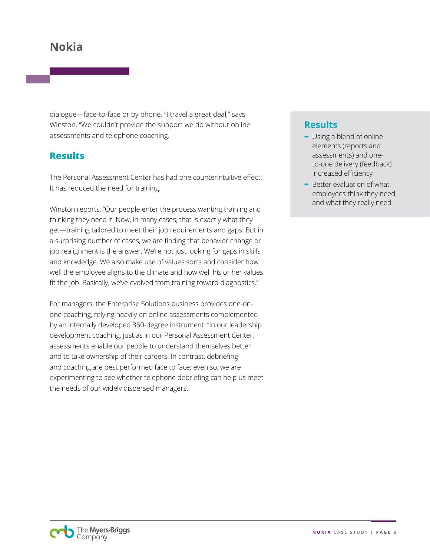# **Nokia**

dialogue—face-to-face or by phone. "I travel a great deal," says Winston. "We couldn't provide the support we do without online assessments and telephone coaching.

## **Results**

The Personal Assessment Center has had one counterintuitive effect: It has reduced the need for training.

Winston reports, "Our people enter the process wanting training and thinking they need it. Now, in many cases, that is exactly what they get—training tailored to meet their job requirements and gaps. But in a surprising number of cases, we are finding that behavior change or job realignment is the answer. We're not just looking for gaps in skills and knowledge. We also make use of values sorts and consider how well the employee aligns to the climate and how well his or her values fit the job. Basically, we've evolved from training toward diagnostics."

For managers, the Enterprise Solutions business provides one-onone coaching, relying heavily on online assessments complemented by an internally developed 360-degree instrument. "In our leadership development coaching, just as in our Personal Assessment Center, assessments enable our people to understand themselves better and to take ownership of their careers. In contrast, debriefing and coaching are best performed face to face; even so, we are experimenting to see whether telephone debriefing can help us meet the needs of our widely dispersed managers.

## **Results**

- **-** Using a blend of online elements (reports and assessments) and oneto-one delivery (feedback) increased efficiency
- **-** Better evaluation of what employees think they need and what they really need